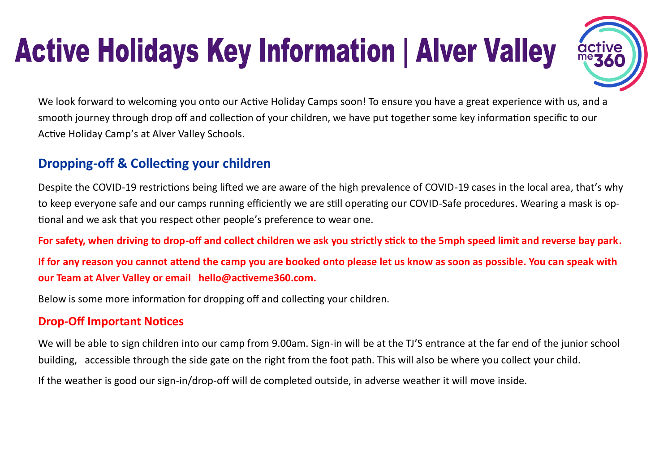# **Active Holidays Key Information | Alver Valley**



We look forward to welcoming you onto our Active Holiday Camps soon! To ensure you have a great experience with us, and a smooth journey through drop off and collection of your children, we have put together some key information specific to our Active Holiday Camp's at Alver Valley Schools.

## **Dropping-off & Collecting your children**

Despite the COVID-19 restrictions being lifted we are aware of the high prevalence of COVID-19 cases in the local area, that's why to keep everyone safe and our camps running efficiently we are still operating our COVID-Safe procedures. Wearing a mask is optional and we ask that you respect other people's preference to wear one.

**For safety, when driving to drop-off and collect children we ask you strictly stick to the 5mph speed limit and reverse bay park.**

**If for any reason you cannot attend the camp you are booked onto please let us know as soon as possible. You can speak with our Team at Alver Valley or email hello@activeme360.com.**

Below is some more information for dropping off and collecting your children.

#### **Drop-Off Important Notices**

We will be able to sign children into our camp from 9.00am. Sign-in will be at the TJ'S entrance at the far end of the junior school building, accessible through the side gate on the right from the foot path. This will also be where you collect your child.

If the weather is good our sign-in/drop-off will de completed outside, in adverse weather it will move inside.